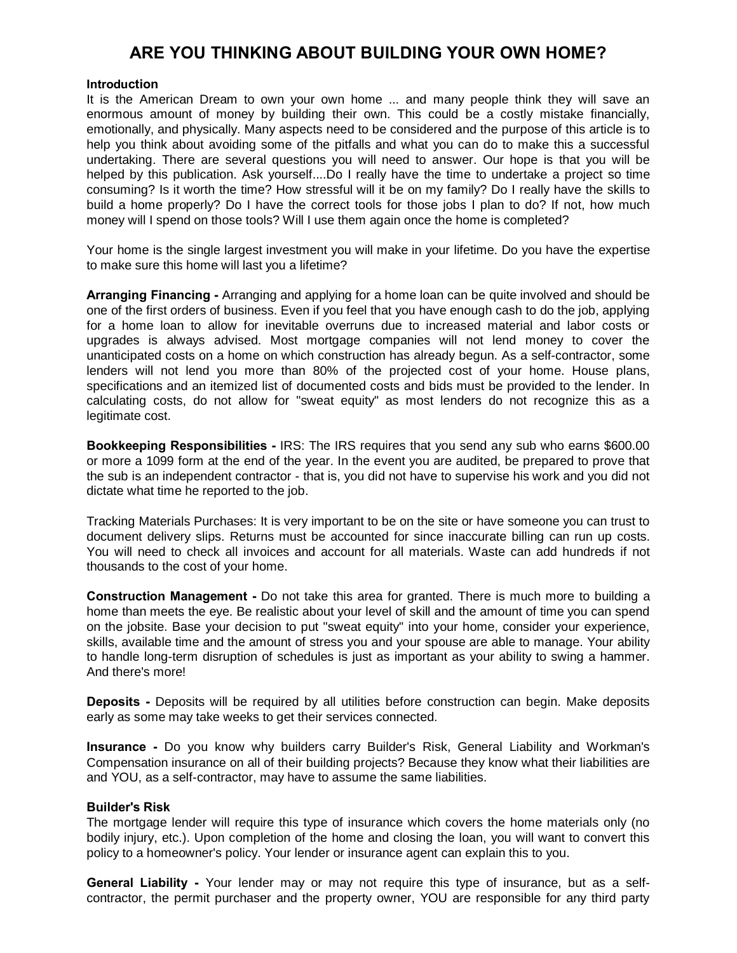## **ARE YOU THINKING ABOUT BUILDING YOUR OWN HOME?**

## **Introduction**

It is the American Dream to own your own home ... and many people think they will save an enormous amount of money by building their own. This could be a costly mistake financially, emotionally, and physically. Many aspects need to be considered and the purpose of this article is to help you think about avoiding some of the pitfalls and what you can do to make this a successful undertaking. There are several questions you will need to answer. Our hope is that you will be helped by this publication. Ask yourself....Do I really have the time to undertake a project so time consuming? Is it worth the time? How stressful will it be on my family? Do I really have the skills to build a home properly? Do I have the correct tools for those jobs I plan to do? If not, how much money will I spend on those tools? Will I use them again once the home is completed?

Your home is the single largest investment you will make in your lifetime. Do you have the expertise to make sure this home will last you a lifetime?

**Arranging Financing -** Arranging and applying for a home loan can be quite involved and should be one of the first orders of business. Even if you feel that you have enough cash to do the job, applying for a home loan to allow for inevitable overruns due to increased material and labor costs or upgrades is always advised. Most mortgage companies will not lend money to cover the unanticipated costs on a home on which construction has already begun. As a self-contractor, some lenders will not lend you more than 80% of the projected cost of your home. House plans, specifications and an itemized list of documented costs and bids must be provided to the lender. In calculating costs, do not allow for "sweat equity" as most lenders do not recognize this as a legitimate cost.

**Bookkeeping Responsibilities -** IRS: The IRS requires that you send any sub who earns \$600.00 or more a 1099 form at the end of the year. In the event you are audited, be prepared to prove that the sub is an independent contractor - that is, you did not have to supervise his work and you did not dictate what time he reported to the job.

Tracking Materials Purchases: It is very important to be on the site or have someone you can trust to document delivery slips. Returns must be accounted for since inaccurate billing can run up costs. You will need to check all invoices and account for all materials. Waste can add hundreds if not thousands to the cost of your home.

**Construction Management -** Do not take this area for granted. There is much more to building a home than meets the eye. Be realistic about your level of skill and the amount of time you can spend on the jobsite. Base your decision to put "sweat equity" into your home, consider your experience, skills, available time and the amount of stress you and your spouse are able to manage. Your ability to handle long-term disruption of schedules is just as important as your ability to swing a hammer. And there's more!

**Deposits -** Deposits will be required by all utilities before construction can begin. Make deposits early as some may take weeks to get their services connected.

**Insurance -** Do you know why builders carry Builder's Risk, General Liability and Workman's Compensation insurance on all of their building projects? Because they know what their liabilities are and YOU, as a self-contractor, may have to assume the same liabilities.

## **Builder's Risk**

The mortgage lender will require this type of insurance which covers the home materials only (no bodily injury, etc.). Upon completion of the home and closing the loan, you will want to convert this policy to a homeowner's policy. Your lender or insurance agent can explain this to you.

**General Liability -** Your lender may or may not require this type of insurance, but as a selfcontractor, the permit purchaser and the property owner, YOU are responsible for any third party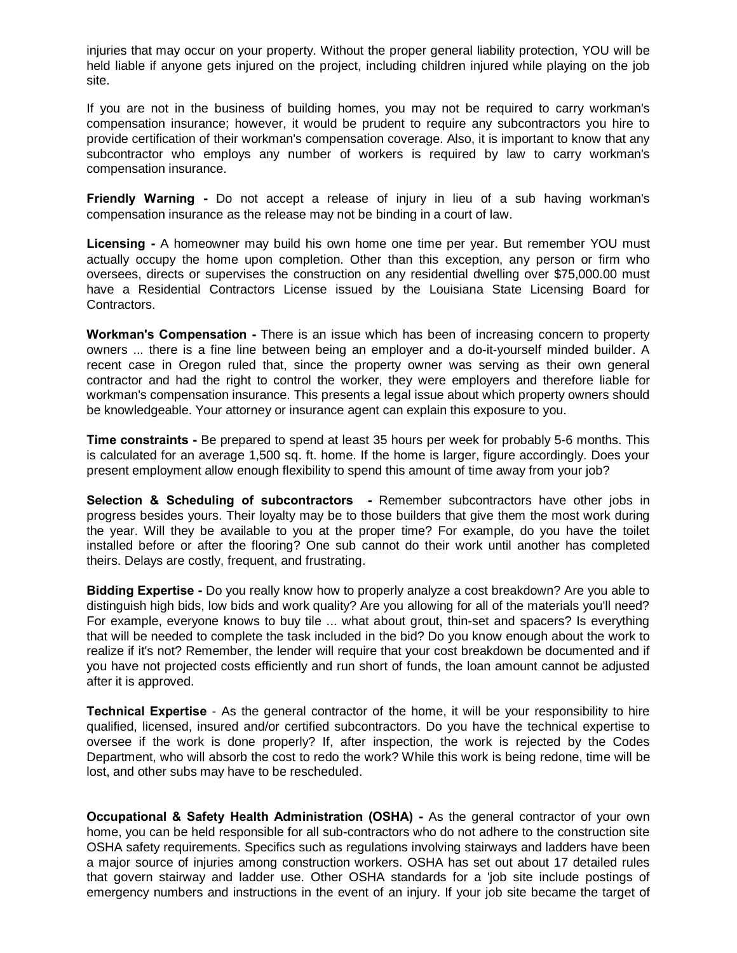injuries that may occur on your property. Without the proper general liability protection, YOU will be held liable if anyone gets injured on the project, including children injured while playing on the job site.

If you are not in the business of building homes, you may not be required to carry workman's compensation insurance; however, it would be prudent to require any subcontractors you hire to provide certification of their workman's compensation coverage. Also, it is important to know that any subcontractor who employs any number of workers is required by law to carry workman's compensation insurance.

**Friendly Warning -** Do not accept a release of injury in lieu of a sub having workman's compensation insurance as the release may not be binding in a court of law.

**Licensing -** A homeowner may build his own home one time per year. But remember YOU must actually occupy the home upon completion. Other than this exception, any person or firm who oversees, directs or supervises the construction on any residential dwelling over \$75,000.00 must have a Residential Contractors License issued by the Louisiana State Licensing Board for Contractors.

**Workman's Compensation -** There is an issue which has been of increasing concern to property owners ... there is a fine line between being an employer and a do-it-yourself minded builder. A recent case in Oregon ruled that, since the property owner was serving as their own general contractor and had the right to control the worker, they were employers and therefore liable for workman's compensation insurance. This presents a legal issue about which property owners should be knowledgeable. Your attorney or insurance agent can explain this exposure to you.

**Time constraints -** Be prepared to spend at least 35 hours per week for probably 5-6 months. This is calculated for an average 1,500 sq. ft. home. If the home is larger, figure accordingly. Does your present employment allow enough flexibility to spend this amount of time away from your job?

**Selection & Scheduling of subcontractors -** Remember subcontractors have other jobs in progress besides yours. Their loyalty may be to those builders that give them the most work during the year. Will they be available to you at the proper time? For example, do you have the toilet installed before or after the flooring? One sub cannot do their work until another has completed theirs. Delays are costly, frequent, and frustrating.

**Bidding Expertise -** Do you really know how to properly analyze a cost breakdown? Are you able to distinguish high bids, low bids and work quality? Are you allowing for all of the materials you'll need? For example, everyone knows to buy tile ... what about grout, thin-set and spacers? Is everything that will be needed to complete the task included in the bid? Do you know enough about the work to realize if it's not? Remember, the lender will require that your cost breakdown be documented and if you have not projected costs efficiently and run short of funds, the loan amount cannot be adjusted after it is approved.

**Technical Expertise** - As the general contractor of the home, it will be your responsibility to hire qualified, licensed, insured and/or certified subcontractors. Do you have the technical expertise to oversee if the work is done properly? If, after inspection, the work is rejected by the Codes Department, who will absorb the cost to redo the work? While this work is being redone, time will be lost, and other subs may have to be rescheduled.

**Occupational & Safety Health Administration (OSHA) -** As the general contractor of your own home, you can be held responsible for all sub-contractors who do not adhere to the construction site OSHA safety requirements. Specifics such as regulations involving stairways and ladders have been a major source of injuries among construction workers. OSHA has set out about 17 detailed rules that govern stairway and ladder use. Other OSHA standards for a 'job site include postings of emergency numbers and instructions in the event of an injury. If your job site became the target of